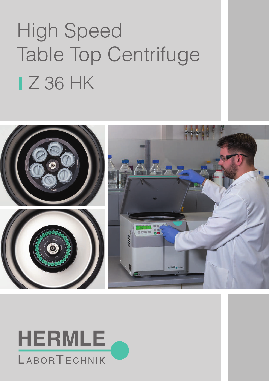# High Speed Table Top Centrifuge **IZ 36 HK**



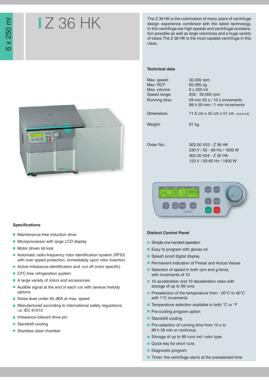## Z 36 HK

The Z 36 HK is the culmination of many years of centrifuge design experience combined with the latest technology. In this centrifuge are high speeds and centrifugal acceleration possible as well as large voluminas and a huge variety of tubes.The Z 36 HK is the most capable centrifuge in this class.

#### **Technical data**

| Max. speed:   | 30,000 rpm                      |  |  |  |  |  |
|---------------|---------------------------------|--|--|--|--|--|
| Max. RCF:     | 65,395 xg                       |  |  |  |  |  |
| Max. volume:  | 6 x 250 ml                      |  |  |  |  |  |
| Speed range:  | 200 - 30,000 rpm                |  |  |  |  |  |
| Running time: | 59 min 50 s $/$ 10 s increments |  |  |  |  |  |
|               | 99 h 59 min / 1 min increments  |  |  |  |  |  |
| Dimensions:   | 71.5 cm x 42 cm x 51 cm (wxhxd) |  |  |  |  |  |
| Weight:       | 91 kg                           |  |  |  |  |  |
|               |                                 |  |  |  |  |  |
| Order No.:    | 302.00 V03 - Z 36 HK            |  |  |  |  |  |
|               | 230 V / 50 - 60 Hz / 1600 W     |  |  |  |  |  |
|               | 302.00 V04 - Z 32 HK            |  |  |  |  |  |

120 V / 50-60 Hz / 1800 W



#### **Specifications**

- $\Box$ Maintenance-free induction drive
- **Microprocessor with large LCD display**
- **Motor driven lid lock**
- $\Box$ Automatic radio-frequency rotor identification system (RFID) with over speed protection, immediately upon rotor insertion
- Active imbalance-identification and -cut off (rotor specific)
- CFC-free refrigeration system
- A large variety of rotors and accessories
- Audible signal at the end of each run with several melody  $\overline{\phantom{a}}$ options
- Noise level under 65 dBA at max. speed
- Manufactured according to international safety regulations, × i.e. IEC 61010
- **Imbalance tolerant drive pin**
- Standstill cooling
- Stainless steel chamber  $\mathbf{r}$



### **Distinct Control Panel**

- Simple one handed operation
- Easy to program with gloves on
- Splash proof digital display
- **Permanent indication of Preset and Actual Values**
- Selection of speed in both rpm and g-force, with increments of 10
- 10 acceleration and 10 deceleration rates with storage of up to 99 runs
- Preselection of the temperature from 20°C to 40°C with 1°C increments
- Temperature selection available in both °C or °F
- **Pre-cooling program option**
- Standstill cooling
- Pre-selection of running time from 10 s to 99 h 59 min or continous
- Storage of up to 99 runs incl. rotor type
- Quick-key for short runs
- Diagnostic program
- $\blacksquare$  Timer: the centrifuge starts at the preselected time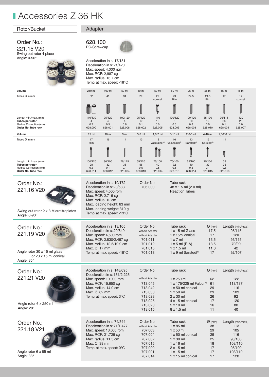### **Accessories Z 36 HK**

### Rotor/Bucket Adapter

### Order No.:

221.15 V20 Swing out rotor 4 place Angle: 0-90°



### 628.100 PC-Screwcap



Acceleration in s: 17/151 Deceleration in s: 21/420 Max. speed: 4,000 rpm Max. RCF: 2,987 xg Max. radius: 16.7 cm Temp. at max. speed: -18°C

| Volume                                                                     | 250 ml                                                                                                                                                    | 100 ml                                                                                                                                   | 50 ml          | 50 ml                                                                             | 50 ml                | 50 ml                                                                                                             | 25 ml                                                   | 25 ml                                                    | 15 <sub>ml</sub> | 15 <sub>ml</sub>                                              |
|----------------------------------------------------------------------------|-----------------------------------------------------------------------------------------------------------------------------------------------------------|------------------------------------------------------------------------------------------------------------------------------------------|----------------|-----------------------------------------------------------------------------------|----------------------|-------------------------------------------------------------------------------------------------------------------|---------------------------------------------------------|----------------------------------------------------------|------------------|---------------------------------------------------------------|
| Tubes Ø in mm                                                              | 62                                                                                                                                                        | 41                                                                                                                                       | 34             | 29                                                                                | 29<br>conical        | 29<br>Rim                                                                                                         | 24.5                                                    | 24.5<br>Rim                                              | 17               | 17<br>conical                                                 |
|                                                                            |                                                                                                                                                           |                                                                                                                                          |                |                                                                                   | $\ddot{\phantom{a}}$ |                                                                                                                   |                                                         |                                                          |                  |                                                               |
| Length min./max. (mm)                                                      | 110/130                                                                                                                                                   | 95/120                                                                                                                                   | 100/120        | 95/120                                                                            | 116                  | 100/120                                                                                                           | 100/120                                                 | 85/100                                                   | 76/115           | 120                                                           |
| Tubes per rotor<br>Radius Correction (cm)                                  | $\overline{4}$<br>0.7                                                                                                                                     | 4<br>0.5                                                                                                                                 | 4<br>0.6       | 12<br>0.1                                                                         | 12<br>0.0            | 8<br>0.6                                                                                                          | 20<br>0.3                                               | 12<br>0.9                                                | 36<br>0.1        | 28<br>0.0                                                     |
| Order No. Tube rack                                                        | 628.000                                                                                                                                                   | 628.001                                                                                                                                  | 628.008        | 628.002                                                                           | 628.005              | 628.006                                                                                                           | 628.003                                                 | 628.010                                                  | 628.004          | 628.007                                                       |
| Volume                                                                     | 15 <sub>ml</sub>                                                                                                                                          | 10 <sub>m</sub>                                                                                                                          | 9 <sub>m</sub> | 5-7 ml                                                                            | $1,8-7$ ml           | 6-10 ml                                                                                                           | $2,6-5$ ml                                              | 4-10 ml                                                  | $1,5-2,0$ ml     |                                                               |
| Tubes Ø in mm                                                              | 17<br>Rim                                                                                                                                                 | 16                                                                                                                                       | 14             | 13                                                                                | 13<br>Vacutainer®    | 16<br>Vacutainer®                                                                                                 | 13<br><b>Sarstedt<sup>®</sup></b>                       | 15<br>Sarstedt®                                          | 11               |                                                               |
|                                                                            |                                                                                                                                                           |                                                                                                                                          |                |                                                                                   |                      |                                                                                                                   |                                                         |                                                          | Ţ                |                                                               |
| Length min./max. (mm)<br>Tubes per rotor                                   | 100/120<br>28                                                                                                                                             | 80/100<br>32                                                                                                                             | 76/115<br>36   | 65/120<br>56                                                                      | 75/100<br>40         | 75/100<br>32                                                                                                      | 65/100<br>40                                            | 75/100<br>32                                             | 38<br>36         |                                                               |
| Radius Correction (cm)                                                     | 0.3                                                                                                                                                       | 0.1                                                                                                                                      | 0.1            | 0.5                                                                               | 0.5                  | 0.1                                                                                                               | 0.5                                                     | 0.1                                                      | 0.8              |                                                               |
| Order No. Tube rack                                                        | 628.011                                                                                                                                                   | 628.012                                                                                                                                  | 628.004        | 628.013                                                                           | 628.014              | 628.015                                                                                                           | 628.014                                                 | 628.015                                                  | 628.016          |                                                               |
| Order No.:<br>221.16 V20                                                   | Acceleration in s: 19/172<br>Deceleration in s: 23/583<br>Max. speed: 4,500 rpm<br>Max. RCF: 2,716 xg<br>Max. radius: 12 cm<br>Max. loading height: 63 mm |                                                                                                                                          |                | Order No.:<br>Tube rack<br>706.000                                                |                      |                                                                                                                   | 48 x 1.5 ml (2.0 ml)<br><b>Reaction Tubes</b>           |                                                          |                  |                                                               |
| Swing out rotor 2 x 3 Microtitreplates<br>Angle: 0-90°                     |                                                                                                                                                           | Max. loading weight: 310 g<br>Temp. at max. speed: $-13^{\circ}$ C                                                                       |                |                                                                                   |                      |                                                                                                                   |                                                         |                                                          |                  |                                                               |
| Order No.:<br>221.19 V20                                                   | Max. Ø: 17 mm                                                                                                                                             | Acceleration in s: 13/105<br>Deceleration in s: 20/649<br>Max. speed: 4,500 rpm<br>Max. RCF: 2,830/2,467 xg<br>Max. radius: 12.5/10.9 cm |                | Order No.:<br>without Adapter<br>without Adapter<br>701.011<br>701.012<br>701.015 |                      | Tube rack<br>1 x 15 ml Glass<br>1 x 15ml conical<br>$1 \times 7$ ml<br>$1 \times 5$ ml (RIA)<br>$1 \times 1.5$ ml |                                                         | $\varnothing$ (mm)<br>17.5<br>17<br>13.5<br>13.5<br>11.0 |                  | Length (min./max.):<br>95/115<br>120<br>95/115<br>70/90<br>42 |
| Angle rotor 30 x 15 ml glass<br>or 20 x 15 ml conical<br>Angle: $35^\circ$ |                                                                                                                                                           | Temp. at max. speed: $-18^{\circ}$ C                                                                                                     |                | 701.018                                                                           |                      |                                                                                                                   | 1 x 9 ml Sarstedt®                                      | 17                                                       |                  | 92/107                                                        |
| Order No.:                                                                 |                                                                                                                                                           | Acceleration in s: 148/695<br>Deceleration in s: 131/2,225                                                                               |                | Order No.:                                                                        |                      | Tube rack                                                                                                         |                                                         | $\varnothing$ (mm)                                       |                  | Length (min./max.):                                           |
| 221.21 V20                                                                 |                                                                                                                                                           | Max. speed: 10,000 rpm                                                                                                                   |                | without Adapter                                                                   |                      | 1 x 250 ml                                                                                                        |                                                         | 62                                                       |                  | 122                                                           |
|                                                                            |                                                                                                                                                           | Max. RCF: 15,650 xg<br>Max. radius: 14.0 cm                                                                                              |                | 713.045<br>713.042                                                                |                      |                                                                                                                   | 1 x 175/225 ml Falcon <sup>®</sup><br>1 x 50 ml conical | 61<br>29                                                 |                  | 118/137<br>116                                                |
|                                                                            | $Max. \varnothing$ : 62 mm                                                                                                                                |                                                                                                                                          |                | /13.030                                                                           |                      | 1 x 50 ml                                                                                                         |                                                         | 29                                                       |                  | 103.                                                          |
|                                                                            |                                                                                                                                                           | Temp. at max. speed: 3°C                                                                                                                 |                | 713.028                                                                           |                      | $2 \times 30$ ml                                                                                                  |                                                         | 26                                                       |                  | 92                                                            |
| Angle rotor 6 x 250 ml                                                     |                                                                                                                                                           |                                                                                                                                          |                | 713.025                                                                           |                      |                                                                                                                   | 4 x 15 ml conical                                       | 17                                                       |                  | 120                                                           |
| Angle: 28°                                                                 |                                                                                                                                                           |                                                                                                                                          |                | 713.020<br>713.015                                                                |                      | $5 \times 10$ ml<br>8 x 1.5 ml                                                                                    |                                                         | 16<br>11                                                 |                  | 80<br>40                                                      |
|                                                                            |                                                                                                                                                           |                                                                                                                                          |                |                                                                                   |                      |                                                                                                                   |                                                         |                                                          |                  |                                                               |
| Order No.:                                                                 |                                                                                                                                                           | Acceleration in s: 74/544                                                                                                                |                | Order No.:                                                                        |                      | Tube rack                                                                                                         |                                                         | $\varnothing$ (mm)                                       |                  | Length (min./max.):                                           |
|                                                                            |                                                                                                                                                           | Deceleration in s: 71/1,477                                                                                                              |                | without Adapter                                                                   |                      | $1 \times 85$ ml                                                                                                  |                                                         | 38                                                       |                  | 113                                                           |
| 221.18 V21                                                                 |                                                                                                                                                           | Max. speed: 13,000 rpm                                                                                                                   |                | 707.003                                                                           |                      | $1 \times 50$ ml                                                                                                  |                                                         | 29                                                       |                  | 105                                                           |
|                                                                            |                                                                                                                                                           | Max. RCF: 21,726 xg<br>Max. radius: 11.5 cm                                                                                              |                | 707.004<br>707.002                                                                |                      | $1 \times 30$ ml                                                                                                  | 1 x 50 ml conical                                       | 29<br>25                                                 |                  | 116<br>90/103                                                 |
|                                                                            | Max. Ø: 38 mm                                                                                                                                             |                                                                                                                                          |                | 707.015                                                                           |                      | $1 \times 16$ ml                                                                                                  |                                                         | 18                                                       |                  | 103/110                                                       |
|                                                                            |                                                                                                                                                           | Temp. at max. speed: 0°C                                                                                                                 |                | 707.000                                                                           |                      | $2 \times 15$ ml                                                                                                  |                                                         | 17                                                       |                  | 95/100                                                        |
| Angle rotor 6 x 85 ml                                                      |                                                                                                                                                           |                                                                                                                                          |                | 707.001                                                                           |                      | $1 \times 15$ ml                                                                                                  |                                                         | 17                                                       |                  | 103/110                                                       |
| Angle: 38°                                                                 |                                                                                                                                                           |                                                                                                                                          |                | 707.014                                                                           |                      |                                                                                                                   | 1 x 15 ml conical                                       | 17                                                       |                  | 120                                                           |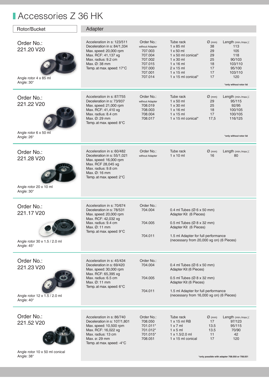### **Accessories Z 36 HK**

| Rotor/Bucket                                                            | Adapter                                                                                                                                                                                  |                                                                                                            |                                                                                                                                                                                                                           |                                                                    |                                                                                                                      |  |  |
|-------------------------------------------------------------------------|------------------------------------------------------------------------------------------------------------------------------------------------------------------------------------------|------------------------------------------------------------------------------------------------------------|---------------------------------------------------------------------------------------------------------------------------------------------------------------------------------------------------------------------------|--------------------------------------------------------------------|----------------------------------------------------------------------------------------------------------------------|--|--|
| Order No.:<br>221.20 V20<br>Angle rotor 4 x 85 ml<br>Angle: $30^\circ$  | Acceleration in s: 123/511<br>Deceleration in s: 84/1,334<br>Max. speed: 20,000 rpm<br>Max. RCF: 41,137 xg<br>Max. radius: 9.2 cm<br>Max. Ø: 38 mm<br>Temp. at max. speed: 17°C          | Order No.:<br>without Adapter<br>707.003<br>707.004<br>707.002<br>707.015<br>707.000<br>707.001<br>707.014 | Tube rack<br>$1 \times 85$ ml<br>$1 \times 50$ ml<br>$1 \times 50$ ml conical*<br>$1 \times 30$ ml<br>$1 \times 16$ ml<br>$2 \times 15$ ml<br>$1 \times 15$ ml<br>$1 \times 15$ ml conical*                               | $\varnothing$ (mm)<br>38<br>29<br>29<br>25<br>18<br>17<br>17<br>17 | Length (min./max.):<br>113<br>105<br>118<br>90/103<br>103/110<br>95/100<br>103/110<br>120<br>*only without rotor lid |  |  |
| Order No.:<br>221.22 V20<br>Angle rotor 6 x 50 ml<br>Angle: 26°         | Acceleration in s: 87/755<br>Deceleration in s: 73/937<br>Max. speed: 21,000 rpm<br>Max. RCF: 41,410 xg<br>Max. radius: 8.4 cm<br>Max. Ø: 29 mm<br>Temp. at max. speed: 8°C              | Order No.:<br>without Adapter<br>708.019<br>708.003<br>708.004<br>708.017                                  | Tube rack<br>$1 \times 50$ ml<br>$1 \times 30$ ml<br>$1 \times 16$ ml<br>$1 \times 15$ ml<br>$1 \times 15$ ml conical*                                                                                                    | $\varnothing$ (mm)<br>29<br>25<br>18<br>17<br>17,5                 | Length (min./max.):<br>95/115<br>92/95<br>100/105<br>100/105<br>116/125<br>*only without rotor lid                   |  |  |
| Order No.:<br>221.28 V20<br>Angle rotor 20 x 10 ml<br>Angle: $30^\circ$ | Acceleration in s: 60/482<br>Deceleration in s: 55/1,021<br>Max. speed: 16,000 rpm<br>Max. RCF 28,045 xg<br>Max. radius: 9.8 cm<br>Max. Ø: 16 mm<br>Temp. at max. speed: 2°C             | Order No.:<br>without Adapter                                                                              | Tube rack<br>$1 \times 10$ ml                                                                                                                                                                                             | $\varnothing$ (mm)<br>16                                           | Length (min./max.):<br>80                                                                                            |  |  |
| Order No.:<br>221.17 V20<br>Angle rotor 30 x 1.5 / 2.0 ml<br>Angle: 45° | Acceleration in s: 70/674<br>Deceleration in s: 78/531<br>Max. speed: 20,000 rpm<br>Max. RCF: 42,032 xg<br>Max. radius: 9.4 cm<br>Max. Ø: 11 mm<br>Temp. at max. speed: 9°C              | Order No.:<br>704.004<br>704.005<br>704.011                                                                | 0.4 ml Tubes ( $\varnothing$ 6 x 50 mm)<br>Adapter Kit (6 Pieces)<br>0.5 ml Tubes ( $\varnothing$ 8 x 32 mm)<br>Adapter Kit (6 Pieces)<br>1.5 ml Adapter for full performance<br>(necessary from 20,000 xg on) (6 Pieces) |                                                                    |                                                                                                                      |  |  |
| Order No.:<br>221.23 V20<br>Angle rotor 12 x 1.5 / 2.0 ml<br>Angle: 40° | Acceleration in s: 45/434<br>Deceleration in s: 69/420<br>Max. speed: 30,000 rpm<br>Max. RCF: 65,395 xg<br>Max. radius: 6.5 cm<br>Max. $\varnothing$ : 11 mm<br>Temp. at max. speed: 6°C | Order No.:<br>704.004<br>704.005<br>704.011                                                                | 0.4 ml Tubes ( $\varnothing$ 6 x 50 mm)<br>Adapter Kit (6 Pieces)<br>0.5 ml Tubes ( $\varnothing$ 8 x 32 mm)<br>Adapter Kit (6 Pieces)<br>1.5 ml Adapter for full performance<br>(necessary from 16,000 xg on) (6 Pieces) |                                                                    |                                                                                                                      |  |  |
| Order No.:<br>221.52 V20                                                | Acceleration in s: 86/740<br>Deceleration in s: 107/1,801<br>Max. speed: 10,500 rpm<br>Max. RCF: 16,022 xg<br>Max. radius: 13 cm<br>Max. ø: 29 mm<br>Temp. at max. speed: -4°C           | Order No.:<br>708.050<br>701.011*<br>701.012*<br>701.015*<br>708.051                                       | Tube rack<br>1 x 15 ml RB<br>1 x 7 m<br>$1 \times 5$ ml<br>$1 \times 1.5/2.0$ ml<br>1 x 15 ml conical                                                                                                                     | $\varnothing$ (mm)<br>17<br>13.5<br>13.5<br>11<br>17               | Length (min./max.):<br>97/123<br>95/115<br>70/90<br>42<br>120                                                        |  |  |

Angle rotor 10 x 50 ml conical Angle: 38°

 **\*only possible with adapter 708.050 or 708.051**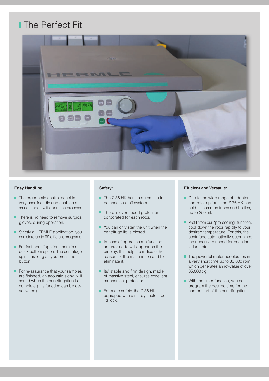### **The Perfect Fit**



### **Easy Handling:**

- $\blacksquare$  The ergonomic control panel is very user-friendly and enables a smooth and swift operation process.
- $\blacksquare$  There is no need to remove surgical gloves, during operation.
- Strictly a HERMLE application, you can store up to 99 different programs.
- $\blacksquare$  For fast centrifugation, there is a quick bottom option. The centrifuge spins, as long as you press the button.
- $\blacksquare$  For re-assurance that your samples are finished, an acoustic signal will sound when the centrifugation is complete (this function can be deactivated).

#### **Safety:**

- The Z 36 HK has an automatic imbalance shut off system
- **There is over speed protection in**corporated for each rotor.
- You can only start the unit when the centrifuge lid is closed.
- $\blacksquare$  In case of operation malfunction, an error code will appear on the display; this helps to indicate the reason for the malfunction and to eliminate it.
- I Its' stable and firm design, made of massive steel, ensures excellent mechanical protection.
- For more safety, the Z 36 HK is equipped with a sturdy, motorized lid lock.

### **Efficient and Versatile:**

- Due to the wide range of adapter and rotor options, the Z 36 HK can hold all common tubes and bottles, up to 250 ml.
- Profit from our "pre-cooling" function, cool down the rotor rapidly to your desired temperature. For this, the centrifuge automatically determines the necessary speed for each individual rotor.
- $\blacksquare$  The powerful motor accelerates in a very short time up to 30,000 rpm, which generates an rcf-value of over 65,000 xg!
- With the timer function, you can program the desired time for the end or start of the centrifugation.